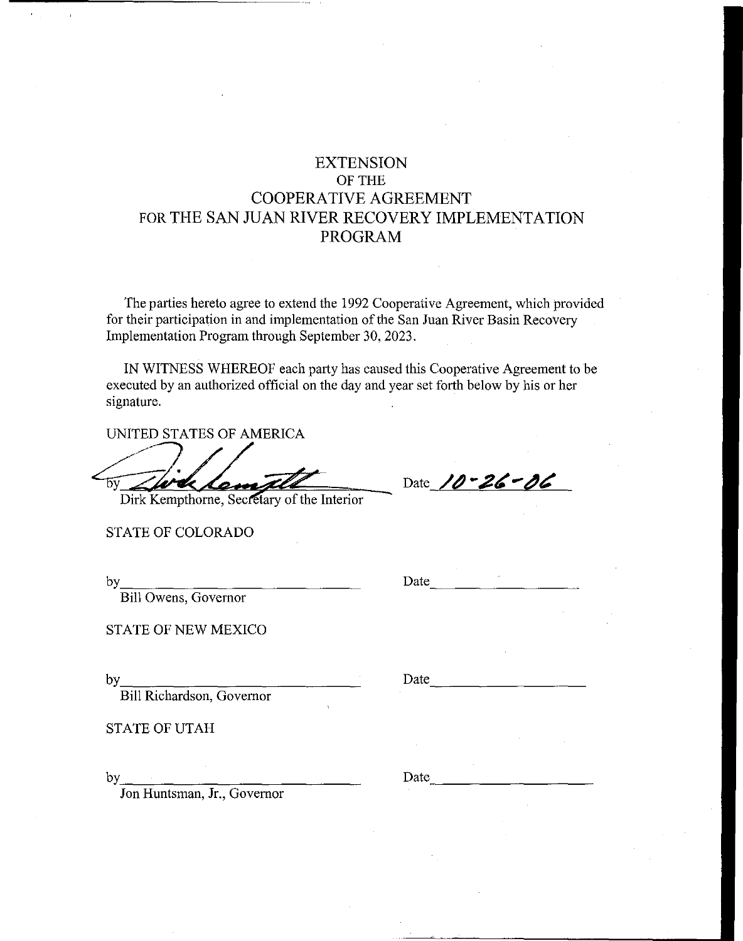# **EXTENSION**  OF THE COOPERATIVE AGREEMENT FOR THE SAN JUAN RIVER RECOVERY IMPLEMENTATION **PROGRAM**

The parties hereto agree to extend the 1992 Cooperative Agreement, which provided for their participation in and implementation of the San Juan River Basin Recovery Implementation Program through September 30, 2023.

IN WITNESS WHEREOF each party has caused this Cooperative Agreement to be executed by an authorized official on the day and year set forth below by his or her signature.

UNITED STATES OF AMERICA

UNITED STATES OF AMERICA<br>Dirk Kempthorne, Secretary of the Interior

STATE OF COLORADO

by \_\_\_\_\_\_\_\_\_\_\_\_\_ \_

Bill Owens, Governor

STATE OF NEW MEXICO

by Date Date Charles Bill Richardson, Governor

STATE OF UTAH

by  $\overline{\phantom{a}}$ 

Jon Huntsman, Jr., Governor

Date 10-26-06

Date

Date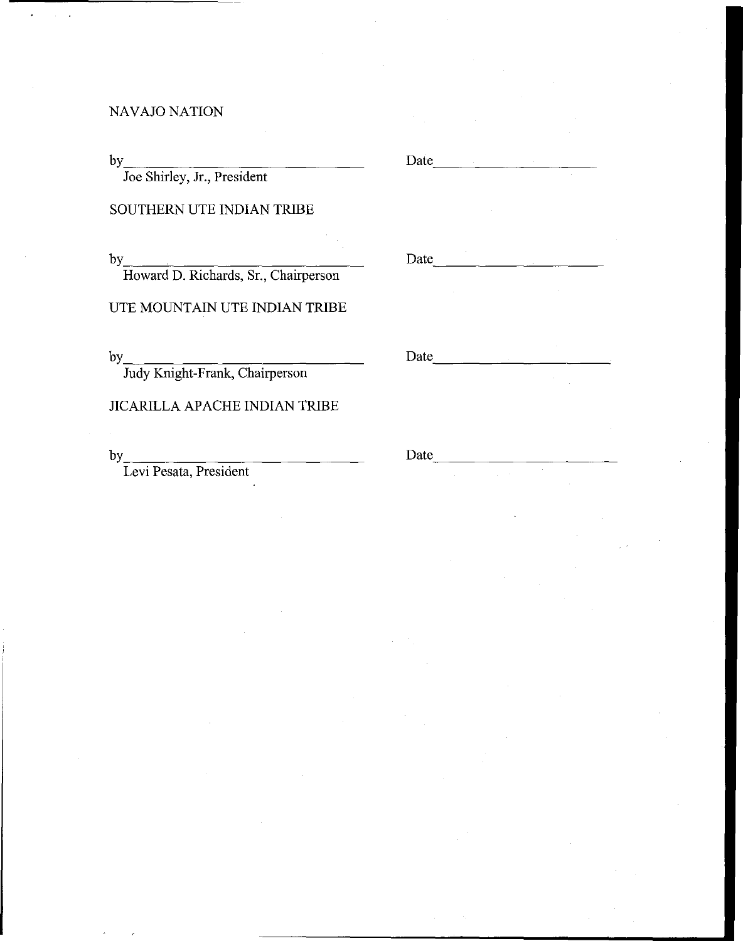# NAVAJO NATION

by \_\_ ----,-\_\_\_\_\_\_\_\_\_\_ \_

Joe Shirley, Jr., President

# SOUTHERN UTE INDIAN TRIBE

by <u>Howard D. Richards, Sr., Chairperson</u> Date

#### UTE MOUNTAIN UTE INDIAN TRIBE

by \_\_\_\_\_\_\_\_\_\_\_\_\_ \_ Date ----------- Judy Knight-Frank, Chairperson

#### JICARILLA APACHE INDIAN TRIBE

by Levi Pesata, President Date

Date ----------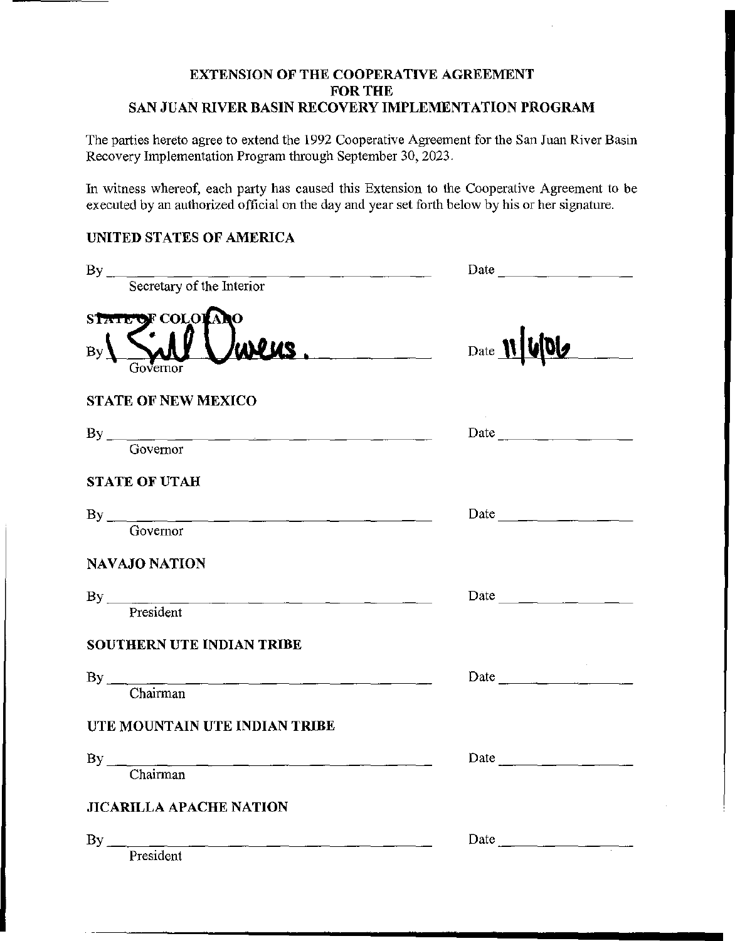#### EXTENSION OF THE COOPERATIVE AGREEMENT FOR THE SAN JUAN RIVER BASIN RECOVERY IMPLEMENTATION PROGRAM

÷.

The parties hereto agree to extend the 1992 Cooperative Agreement for the San Juan River Basin Recovery Implementation Program through September 30, 2023.

In witness whereof, each party has caused this Extension to the Cooperative Agreement to be executed by an authorized official on the day and year set forth below by his or her signature.

## UNITED STATES OF AMERICA

| By Secretary of the Interior   |                      |
|--------------------------------|----------------------|
| STATE OF COLORADO              |                      |
| Sill<br>wers.<br>Governor      | Date 11 406          |
| <b>STATE OF NEW MEXICO</b>     |                      |
| By Governor                    |                      |
|                                |                      |
| <b>STATE OF UTAH</b>           |                      |
|                                | Date $\qquad \qquad$ |
| Governor                       |                      |
| NAVAJO NATION                  |                      |
| By President                   |                      |
|                                |                      |
| SOUTHERN UTE INDIAN TRIBE      |                      |
| By Chairman                    |                      |
|                                |                      |
| UTE MOUNTAIN UTE INDIAN TRIBE  |                      |
|                                |                      |
| $\n  By \n  Chairman\n$        |                      |
| <b>JICARILLA APACHE NATION</b> |                      |
| By                             |                      |
| President                      |                      |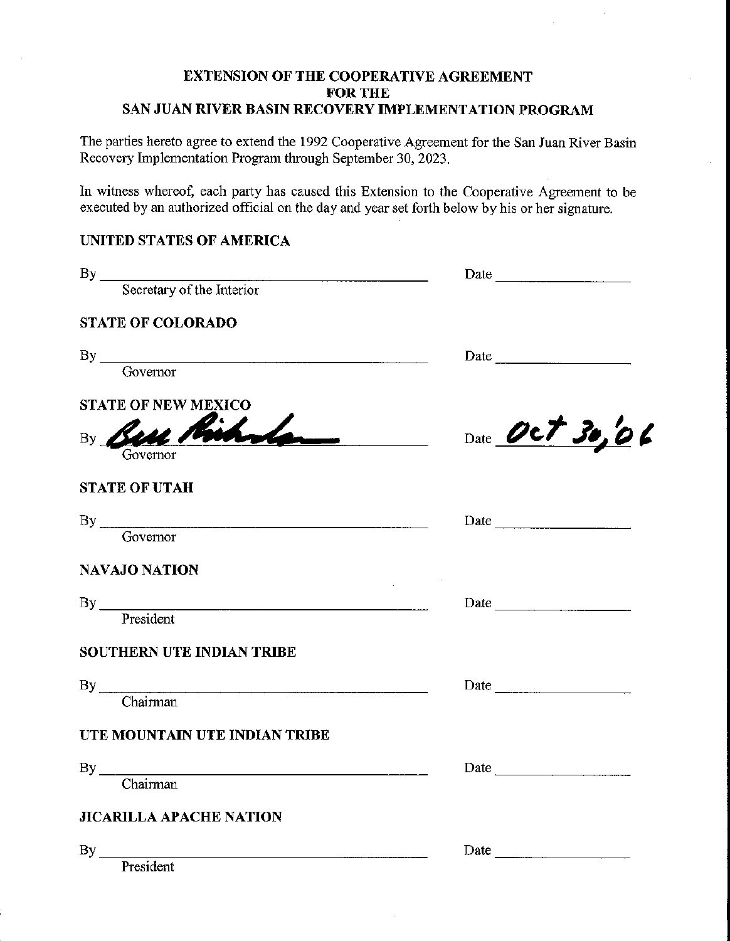#### EXTENSION OF THE COOPERATIVE AGREEMENT FOR THE SAN JUAN RIVER BASIN RECOVERY IMPLEMENTATION PROGRAM

The parties hereto agree to extend the 1992 Cooperative Agreement for the San Juan River Basin Recovery Implementation Program through September 30, 2023.

In witness whereof, each party has caused this Extension to the Cooperative Agreement to be executed by an authorized official on the day and year set forth below by his or her signature.

# UNITED STATES OF AMERICA

|                                  | Date $\frac{1}{\sqrt{1-\frac{1}{2}}}\left  \frac{1}{\sqrt{1-\frac{1}{2}}}\right $                                                                                                                                                               |
|----------------------------------|-------------------------------------------------------------------------------------------------------------------------------------------------------------------------------------------------------------------------------------------------|
| By Secretary of the Interior     |                                                                                                                                                                                                                                                 |
| <b>STATE OF COLORADO</b>         |                                                                                                                                                                                                                                                 |
| $\n  By \n  \n  Governor\n$      |                                                                                                                                                                                                                                                 |
|                                  |                                                                                                                                                                                                                                                 |
| <b>STATE OF NEW MEXICO</b>       |                                                                                                                                                                                                                                                 |
| By Bell<br>Governor              | Date Oct 30,06<br>tarix and the state of the state of the state of the state of the state of the state of the state of the state of the state of the state of the state of the state of the state of the state of the state of the state of the |
| <b>STATE OF UTAH</b>             |                                                                                                                                                                                                                                                 |
| By Governor                      |                                                                                                                                                                                                                                                 |
|                                  |                                                                                                                                                                                                                                                 |
| <b>NAVAJO NATION</b>             |                                                                                                                                                                                                                                                 |
| By President                     |                                                                                                                                                                                                                                                 |
|                                  |                                                                                                                                                                                                                                                 |
| <b>SOUTHERN UTE INDIAN TRIBE</b> |                                                                                                                                                                                                                                                 |
| By Chairman                      |                                                                                                                                                                                                                                                 |
|                                  |                                                                                                                                                                                                                                                 |
| UTE MOUNTAIN UTE INDIAN TRIBE    |                                                                                                                                                                                                                                                 |
| By Chairman                      | Date                                                                                                                                                                                                                                            |
|                                  |                                                                                                                                                                                                                                                 |
| <b>JICARILLA APACHE NATION</b>   |                                                                                                                                                                                                                                                 |
| $By \_\_$                        |                                                                                                                                                                                                                                                 |

President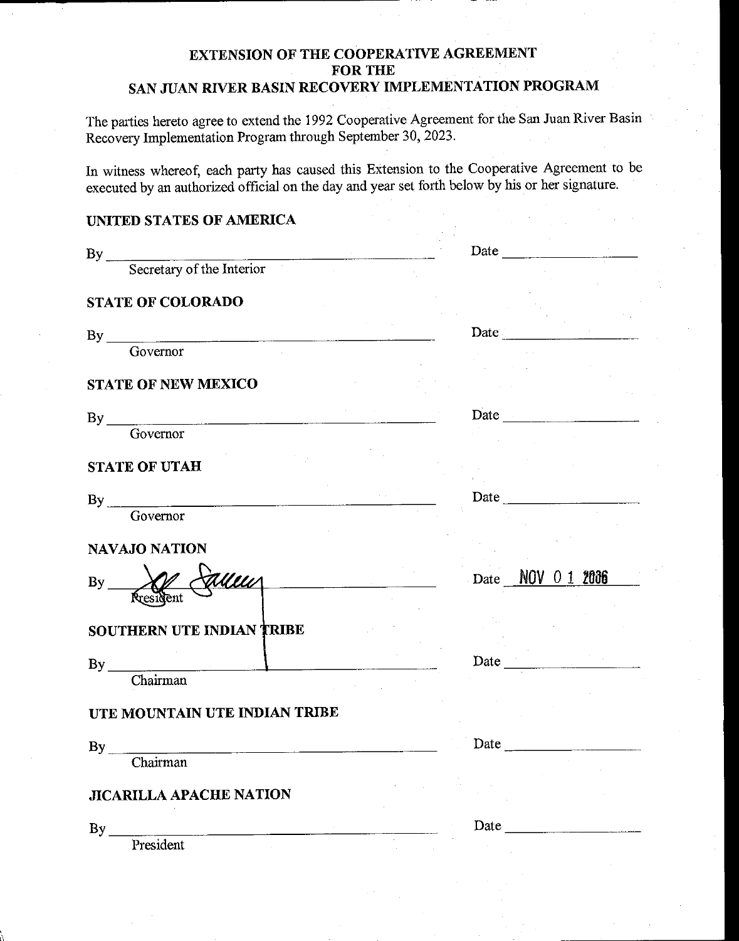# **EXTENSION OF THE COOPERATIVE AGREEMENT FOR THE**  SAN JUAN RIVER BASIN RECOVERY IMPLEMENTATION PROGRAM

The parties hereto agree to extend the 1992 Cooperative Agreement for the San Juan River Basin Recovery Implementation Program through September 30, 2023.

In witness whereof, each party has caused this Extension to the Cooperative Agreement to be executed by an authorized official on the day and year set forth below by his or her signature.

# **UNITED STATES OF AMERICA**

| By Secretary of the Interior                                                                                                 |                             |
|------------------------------------------------------------------------------------------------------------------------------|-----------------------------|
| <b>STATE OF COLORADO</b>                                                                                                     |                             |
|                                                                                                                              |                             |
| $By$ Governor                                                                                                                | Date                        |
|                                                                                                                              |                             |
| <b>STATE OF NEW MEXICO</b>                                                                                                   |                             |
|                                                                                                                              | Date $\qquad \qquad \qquad$ |
| $\n  By \n  Governor\n$                                                                                                      |                             |
|                                                                                                                              |                             |
| <b>STATE OF UTAH</b>                                                                                                         |                             |
|                                                                                                                              | Date                        |
| By Governor                                                                                                                  |                             |
|                                                                                                                              |                             |
| <b>NAVAJO NATION</b>                                                                                                         |                             |
| Alleu<br><u> 1980 - John Harry Harry Harry Harry Harry Harry Harry Harry Harry Harry Harry Harry Harry Harry Harry Harry</u> | Date NOV 0 1 2006           |
| $By$ <sub>—</sub>                                                                                                            |                             |
|                                                                                                                              |                             |
| <b>SOUTHERN UTE INDIAN TRIBE</b>                                                                                             |                             |
|                                                                                                                              |                             |
| By Chairman                                                                                                                  |                             |
|                                                                                                                              |                             |
| UTE MOUNTAIN UTE INDIAN TRIBE                                                                                                |                             |
|                                                                                                                              | Date                        |
| $\begin{tabular}{c} By \\ \hline \textbf{Chairman} \\ \end{tabular}$                                                         |                             |
|                                                                                                                              |                             |
| <b>JICARILLA APACHE NATION</b>                                                                                               |                             |
| By<br><u> 1980 - John Stein, Amerikaansk politiker (</u>                                                                     | Date                        |
| President                                                                                                                    |                             |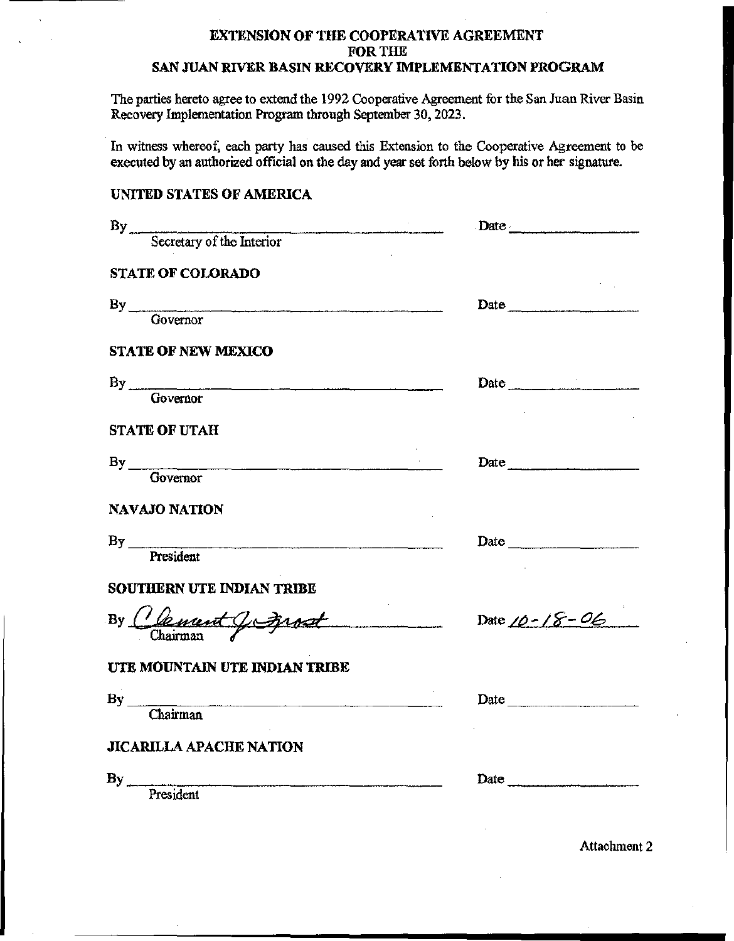# **EXTENSION OF THE COOPERATIVE AGREEMENT FOR** THE

#### **SAN JUAN RIVER BASIN RECOVERY IMPLEMENTATION PROGRAM**

**The parties hereto agree to extend the 1992 Cooperative Agreement for the San Juan River Basin**  Recovery Implementation Program through September 30, 2023.

**In witness whereof, each party has caused this Extension to the Cooperative Agreement to be**  executed by an authorized official on the day and year set forth below by his or her signature.

#### UNITED STATES OF AMERICA

|                                   | Date                |
|-----------------------------------|---------------------|
| $By$<br>Secretary of the Interior |                     |
| <b>STATE OF COLORADO</b>          |                     |
| By Governor                       | Date                |
| <b>STATE OF NEW MEXICO</b>        |                     |
| By Governor                       | Date                |
| <b>STATE OF UTAH</b>              |                     |
| By Governor                       | Date                |
| <b>NAVAJO NATION</b>              |                     |
| By President                      | Date                |
| SOUTHERN UTE INDIAN TRIBE         |                     |
| By Clement Jc<br>terost           | Date $10 - 18 - 06$ |
| UTE MOUNTAIN UTE INDIAN TRIBE     |                     |
| By Chairman                       | Date                |
| <b>JICARILLA APACHE NATION</b>    |                     |
| By President                      | Date                |

Attachment 2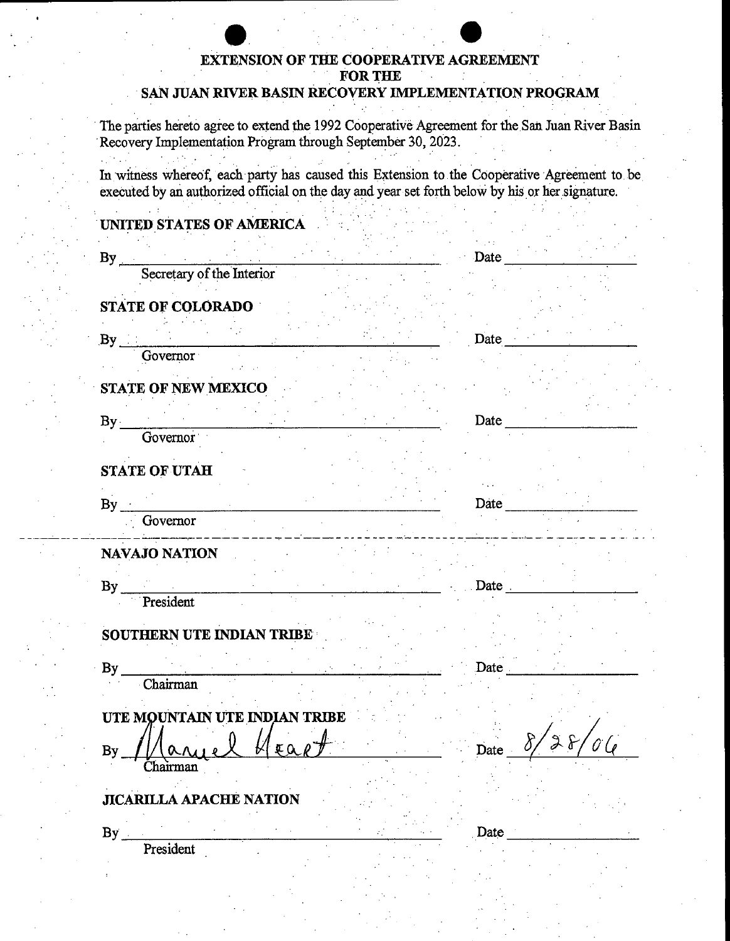# **EXTENSION OF THE COOPERATIVE AGREEMENT FOR THE**

# **SAN JUAN RIVER BASIN RECOVERY IMPLEMENTATION PROGRAM**

The parties hereto agree to extend the 1992 Cooperative Agreement for the San Juan River Basin Recovery Implementation Program through September 30, 2023.

In witness whereof, each party has caused this Extension to the Cooperative Agreement to be executed by an authorized official on the day and year set forth below by his or her signature.

# **. UNITED STATES OF AMERICA**

| $By_{-}$<br><b>Contractor</b>                                                | Date                                      |
|------------------------------------------------------------------------------|-------------------------------------------|
| Secretary of the Interior                                                    |                                           |
| <b>STATE OF COLORADO</b>                                                     |                                           |
|                                                                              | Date                                      |
| Governor                                                                     |                                           |
| STATE OF NEW MEXICO                                                          |                                           |
| By<br>$\mathcal{L}^{\text{max}}$                                             | Date                                      |
| Governor                                                                     |                                           |
| <b>STATE OF UTAH</b>                                                         |                                           |
| By                                                                           | Date<br><u> 1999 - Jan Jawa Barat, pa</u> |
| Governor<br>. .<br>. <b>.</b> .<br>$   -$                                    |                                           |
| NAVAJO NATION                                                                |                                           |
| By                                                                           | Date.                                     |
| President                                                                    |                                           |
| SOUTHERN UTE INDIAN TRIBE                                                    |                                           |
| $By_$<br><u> 1990 - Johann Barnett, martin f</u>                             | Date                                      |
| $\overline{\text{Chairman}}$                                                 |                                           |
| UTE MOUNTAIN UTE INDIAN TRIBE                                                |                                           |
| $u_{\text{real}}$ $v_{\text{max}}$ $v_{\text{max}}$<br>/ما<br>By<br>Chairman |                                           |
|                                                                              |                                           |
| <b>JICARILLA APACHE NATION</b>                                               |                                           |
| By                                                                           | Date                                      |
| President                                                                    |                                           |